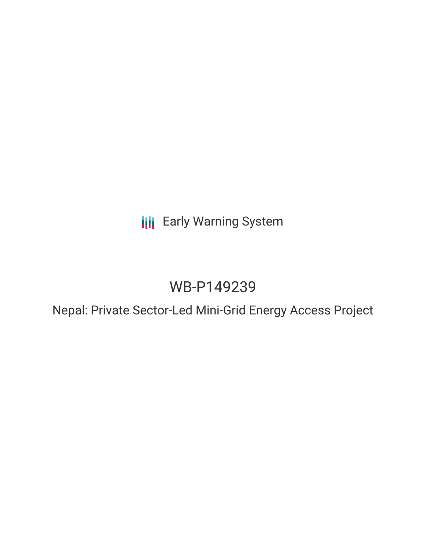## **III** Early Warning System

# WB-P149239

Nepal: Private Sector-Led Mini-Grid Energy Access Project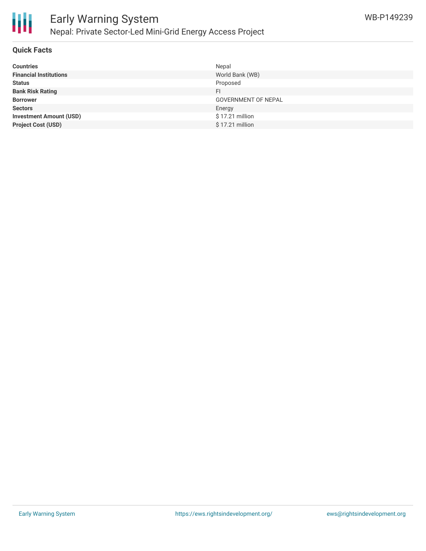

### **Quick Facts**

| <b>Countries</b>               | Nepal                      |
|--------------------------------|----------------------------|
| <b>Financial Institutions</b>  | World Bank (WB)            |
| <b>Status</b>                  | Proposed                   |
| <b>Bank Risk Rating</b>        | FI                         |
| <b>Borrower</b>                | <b>GOVERNMENT OF NEPAL</b> |
| <b>Sectors</b>                 | Energy                     |
| <b>Investment Amount (USD)</b> | $$17.21$ million           |
| <b>Project Cost (USD)</b>      | \$17.21 million            |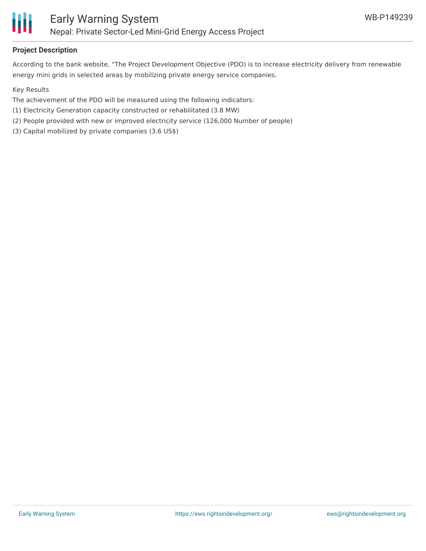

## **Project Description**

According to the bank website, "The Project Development Objective (PDO) is to increase electricity delivery from renewable energy mini grids in selected areas by mobilizing private energy service companies.

Key Results

- The achievement of the PDO will be measured using the following indicators:
- (1) Electricity Generation capacity constructed or rehabilitated (3.8 MW)
- (2) People provided with new or improved electricity service (126,000 Number of people)
- (3) Capital mobilized by private companies (3.6 US\$)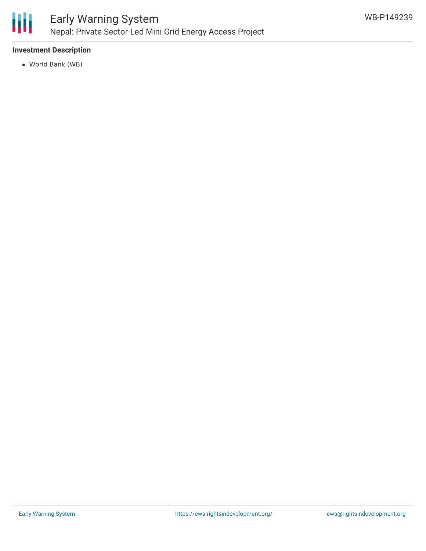

## **Investment Description**

World Bank (WB)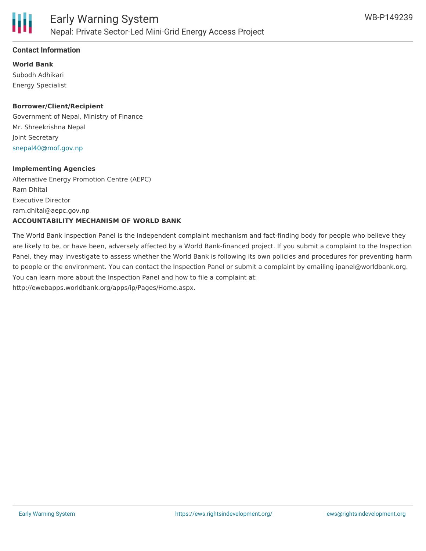

### **Contact Information**

**World Bank** Subodh Adhikari Energy Specialist

### **Borrower/Client/Recipient**

Government of Nepal, Ministry of Finance Mr. Shreekrishna Nepal Joint Secretary [snepal40@mof.gov.np](mailto:snepal40@mof.gov.np)

#### **Implementing Agencies**

Alternative Energy Promotion Centre (AEPC) Ram Dhital Executive Director ram.dhital@aepc.gov.np **ACCOUNTABILITY MECHANISM OF WORLD BANK**

The World Bank Inspection Panel is the independent complaint mechanism and fact-finding body for people who believe they are likely to be, or have been, adversely affected by a World Bank-financed project. If you submit a complaint to the Inspection Panel, they may investigate to assess whether the World Bank is following its own policies and procedures for preventing harm to people or the environment. You can contact the Inspection Panel or submit a complaint by emailing ipanel@worldbank.org. You can learn more about the Inspection Panel and how to file a complaint at: http://ewebapps.worldbank.org/apps/ip/Pages/Home.aspx.